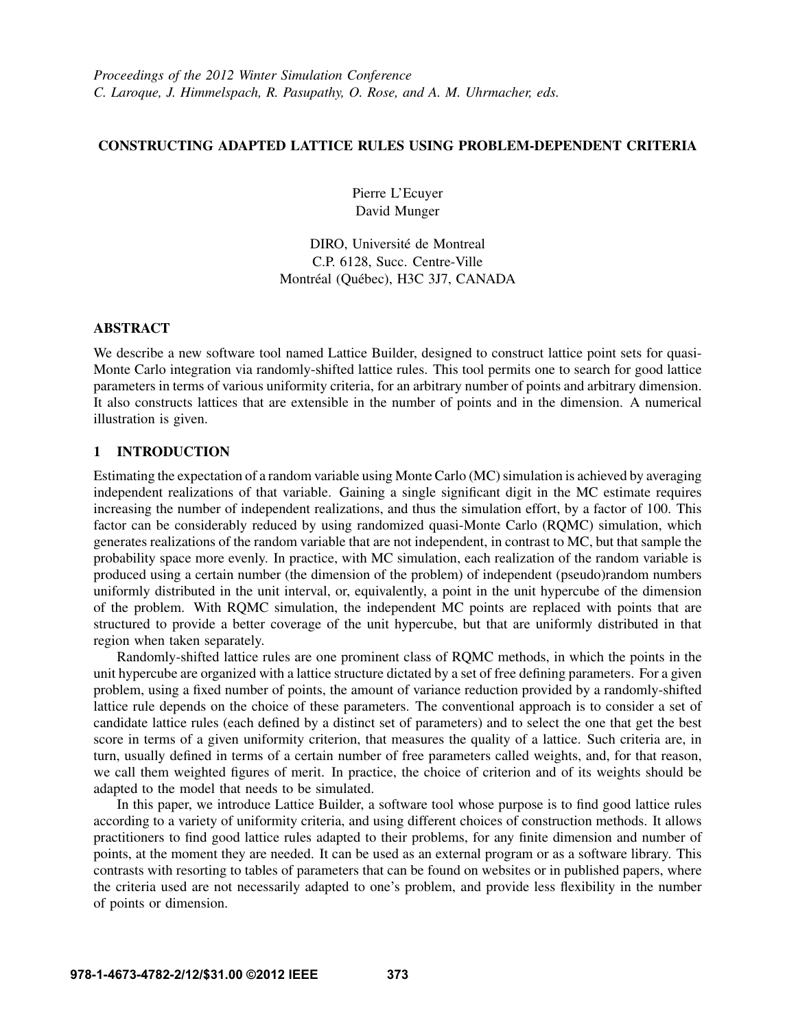## CONSTRUCTING ADAPTED LATTICE RULES USING PROBLEM-DEPENDENT CRITERIA

Pierre L'Ecuyer David Munger

DIRO, Université de Montreal C.P. 6128, Succ. Centre-Ville Montréal (Québec), H3C 3J7, CANADA

# ABSTRACT

We describe a new software tool named Lattice Builder, designed to construct lattice point sets for quasi-Monte Carlo integration via randomly-shifted lattice rules. This tool permits one to search for good lattice parameters in terms of various uniformity criteria, for an arbitrary number of points and arbitrary dimension. It also constructs lattices that are extensible in the number of points and in the dimension. A numerical illustration is given.

# 1 INTRODUCTION

Estimating the expectation of a random variable using Monte Carlo (MC) simulation is achieved by averaging independent realizations of that variable. Gaining a single significant digit in the MC estimate requires increasing the number of independent realizations, and thus the simulation effort, by a factor of 100. This factor can be considerably reduced by using randomized quasi-Monte Carlo (RQMC) simulation, which generates realizations of the random variable that are not independent, in contrast to MC, but that sample the probability space more evenly. In practice, with MC simulation, each realization of the random variable is produced using a certain number (the dimension of the problem) of independent (pseudo)random numbers uniformly distributed in the unit interval, or, equivalently, a point in the unit hypercube of the dimension of the problem. With RQMC simulation, the independent MC points are replaced with points that are structured to provide a better coverage of the unit hypercube, but that are uniformly distributed in that region when taken separately.

Randomly-shifted lattice rules are one prominent class of RQMC methods, in which the points in the unit hypercube are organized with a lattice structure dictated by a set of free defining parameters. For a given problem, using a fixed number of points, the amount of variance reduction provided by a randomly-shifted lattice rule depends on the choice of these parameters. The conventional approach is to consider a set of candidate lattice rules (each defined by a distinct set of parameters) and to select the one that get the best score in terms of a given uniformity criterion, that measures the quality of a lattice. Such criteria are, in turn, usually defined in terms of a certain number of free parameters called weights, and, for that reason, we call them weighted figures of merit. In practice, the choice of criterion and of its weights should be adapted to the model that needs to be simulated.

In this paper, we introduce Lattice Builder, a software tool whose purpose is to find good lattice rules according to a variety of uniformity criteria, and using different choices of construction methods. It allows practitioners to find good lattice rules adapted to their problems, for any finite dimension and number of points, at the moment they are needed. It can be used as an external program or as a software library. This contrasts with resorting to tables of parameters that can be found on websites or in published papers, where the criteria used are not necessarily adapted to one's problem, and provide less flexibility in the number of points or dimension.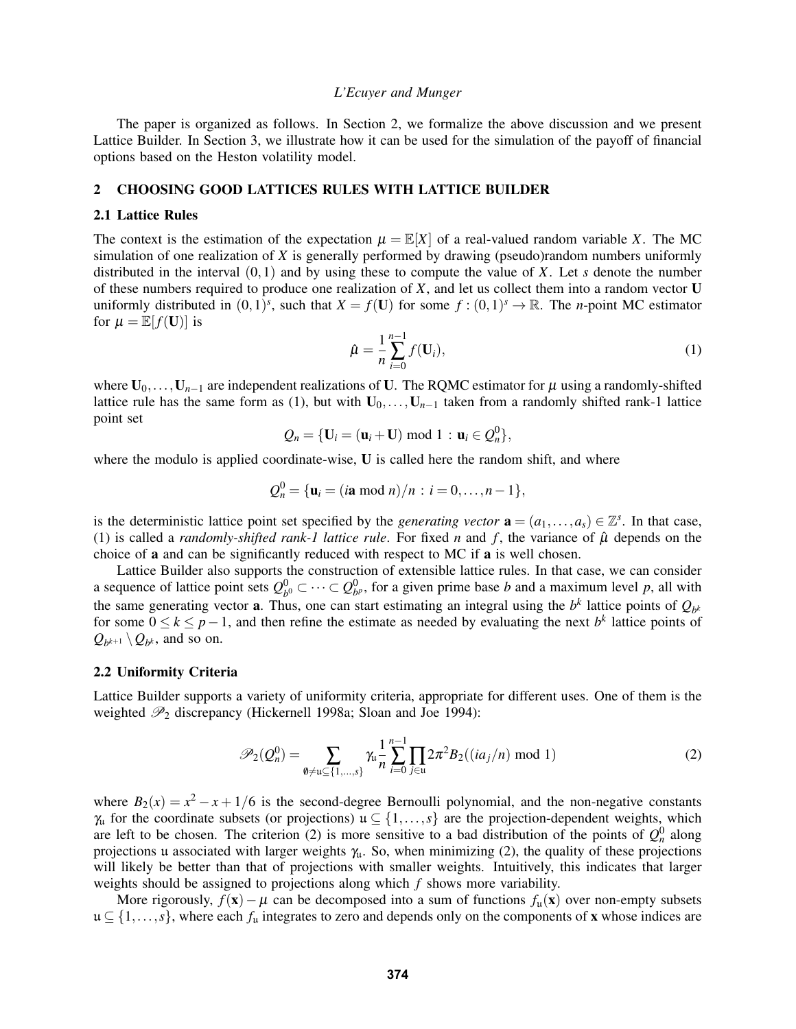The paper is organized as follows. In Section 2, we formalize the above discussion and we present Lattice Builder. In Section 3, we illustrate how it can be used for the simulation of the payoff of financial options based on the Heston volatility model.

### 2 CHOOSING GOOD LATTICES RULES WITH LATTICE BUILDER

### 2.1 Lattice Rules

The context is the estimation of the expectation  $\mu = \mathbb{E}[X]$  of a real-valued random variable *X*. The MC simulation of one realization of *X* is generally performed by drawing (pseudo)random numbers uniformly distributed in the interval (0,1) and by using these to compute the value of *X*. Let *s* denote the number of these numbers required to produce one realization of *X*, and let us collect them into a random vector U uniformly distributed in  $(0,1)^s$ , such that  $X = f(U)$  for some  $f:(0,1)^s \to \mathbb{R}$ . The *n*-point MC estimator for  $\mu = \mathbb{E}[f(\mathbf{U})]$  is

$$
\hat{\mu} = \frac{1}{n} \sum_{i=0}^{n-1} f(\mathbf{U}_i),\tag{1}
$$

where  $U_0, \ldots, U_{n-1}$  are independent realizations of U. The RQMC estimator for  $\mu$  using a randomly-shifted lattice rule has the same form as (1), but with  $U_0, \ldots, U_{n-1}$  taken from a randomly shifted rank-1 lattice point set

$$
Q_n = \{ \mathbf{U}_i = (\mathbf{u}_i + \mathbf{U}) \bmod 1 : \mathbf{u}_i \in Q_n^0 \},
$$

where the modulo is applied coordinate-wise. U is called here the random shift, and where

$$
Q_n^0 = {\mathbf{u}_i = (i\mathbf{a} \bmod n)/n : i = 0,...,n-1},
$$

is the deterministic lattice point set specified by the *generating vector*  $\mathbf{a} = (a_1, \ldots, a_s) \in \mathbb{Z}^s$ . In that case, (1) is called a *randomly-shifted rank-1 lattice rule*. For fixed *n* and  $f$ , the variance of  $\hat{\mu}$  depends on the choice of a and can be significantly reduced with respect to MC if a is well chosen.

Lattice Builder also supports the construction of extensible lattice rules. In that case, we can consider a sequence of lattice point sets  $Q_h^0$  $b_0^0$  ⊂ ··· ⊂  $Q_{b^p}^0$ , for a given prime base *b* and a maximum level *p*, all with the same generating vector **a**. Thus, one can start estimating an integral using the  $b^k$  lattice points of  $Q_{b^k}$ for some  $0 \le k \le p-1$ , and then refine the estimate as needed by evaluating the next *b*<sup>k</sup> lattice points of  $Q_{b^{k+1}} \setminus Q_{b^k}$ , and so on.

### 2.2 Uniformity Criteria

Lattice Builder supports a variety of uniformity criteria, appropriate for different uses. One of them is the weighted  $\mathcal{P}_2$  discrepancy (Hickernell 1998a; Sloan and Joe 1994):

$$
\mathscr{P}_2(Q_n^0) = \sum_{\emptyset \neq \mathfrak{u} \subseteq \{1,\dots,s\}} \chi_\mathfrak{u}^1 \sum_{i=0}^{n-1} \prod_{j \in \mathfrak{u}} 2\pi^2 B_2((ia_j/n) \mod 1) \tag{2}
$$

where  $B_2(x) = x^2 - x + 1/6$  is the second-degree Bernoulli polynomial, and the non-negative constants  $\gamma_{\mu}$  for the coordinate subsets (or projections)  $\mu \subseteq \{1,\ldots,s\}$  are the projection-dependent weights, which are left to be chosen. The criterion (2) is more sensitive to a bad distribution of the points of  $Q_n^0$  along projections u associated with larger weights  $\gamma_{\mu}$ . So, when minimizing (2), the quality of these projections will likely be better than that of projections with smaller weights. Intuitively, this indicates that larger weights should be assigned to projections along which *f* shows more variability.

More rigorously,  $f(x) - \mu$  can be decomposed into a sum of functions  $f_{\mu}(x)$  over non-empty subsets u ⊆ {1,...,*s*}, where each *f*<sup>u</sup> integrates to zero and depends only on the components of x whose indices are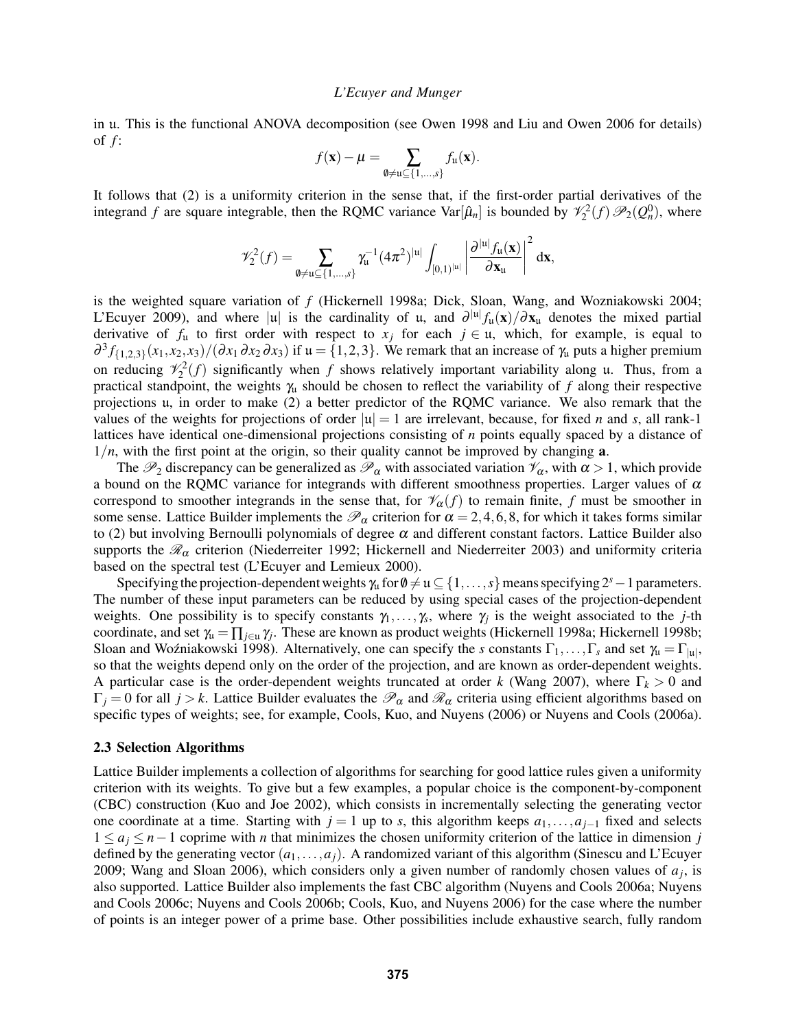in u. This is the functional ANOVA decomposition (see Owen 1998 and Liu and Owen 2006 for details) of *f* :

$$
f(\mathbf{x}) - \mu = \sum_{\emptyset \neq \mathfrak{u} \subseteq \{1,\ldots,s\}} f_{\mathfrak{u}}(\mathbf{x}).
$$

It follows that (2) is a uniformity criterion in the sense that, if the first-order partial derivatives of the integrand *f* are square integrable, then the RQMC variance Var $[\hat{\mu}_n]$  is bounded by  $\mathcal{V}_2^2(f)\mathcal{P}_2(Q_n^0)$ , where

$$
\mathscr{V}^2_2(f) = \sum_{\emptyset \neq \mathfrak{u} \subseteq \{1,\ldots,s\}} \gamma_{\mathfrak{u}}^{-1} (4\pi^2)^{|\mathfrak{u}|} \int_{[0,1)^{|\mathfrak{u}|}} \left|\frac{\partial^{|\mathfrak{u}|} f_{\mathfrak{u}}(\mathbf{x})}{\partial \mathbf{x}_{\mathfrak{u}}}\right|^2 d\mathbf{x},
$$

is the weighted square variation of *f* (Hickernell 1998a; Dick, Sloan, Wang, and Wozniakowski 2004; L'Ecuyer 2009), and where |u| is the cardinality of u, and  $\partial^{|\mu|} f_{\mu}(x)/\partial x_{\mu}$  denotes the mixed partial derivative of  $f_u$  to first order with respect to  $x_j$  for each  $j \in u$ , which, for example, is equal to  $\frac{\partial^3 f_{\{1,2,3\}}(x_1,x_2,x_3)}{\partial x_1 \partial x_2 \partial x_3}$  if  $\mathfrak{u} = \{1,2,3\}$ . We remark that an increase of  $\gamma_{\mathfrak{u}}$  puts a higher premium on reducing  $\mathcal{V}_2^2(f)$  significantly when *f* shows relatively important variability along u. Thus, from a practical standpoint, the weights  $\gamma_u$  should be chosen to reflect the variability of *f* along their respective projections u, in order to make (2) a better predictor of the RQMC variance. We also remark that the values of the weights for projections of order  $|u| = 1$  are irrelevant, because, for fixed *n* and *s*, all rank-1 lattices have identical one-dimensional projections consisting of *n* points equally spaced by a distance of  $1/n$ , with the first point at the origin, so their quality cannot be improved by changing  $a$ .

The  $\mathcal{P}_2$  discrepancy can be generalized as  $\mathcal{P}_\alpha$  with associated variation  $\mathcal{V}_\alpha$ , with  $\alpha > 1$ , which provide a bound on the RQMC variance for integrands with different smoothness properties. Larger values of  $\alpha$ correspond to smoother integrands in the sense that, for  $\mathcal{V}_{\alpha}(f)$  to remain finite, f must be smoother in some sense. Lattice Builder implements the  $\mathcal{P}_{\alpha}$  criterion for  $\alpha = 2, 4, 6, 8$ , for which it takes forms similar to (2) but involving Bernoulli polynomials of degree  $\alpha$  and different constant factors. Lattice Builder also supports the  $\mathcal{R}_{\alpha}$  criterion (Niederreiter 1992; Hickernell and Niederreiter 2003) and uniformity criteria based on the spectral test (L'Ecuyer and Lemieux 2000).

Specifying the projection-dependent weights  $\gamma_u$  for  $\emptyset \neq u \subseteq \{1,\ldots,s\}$  means specifying  $2^s-1$  parameters. The number of these input parameters can be reduced by using special cases of the projection-dependent weights. One possibility is to specify constants  $\gamma_1, \ldots, \gamma_s$ , where  $\gamma_j$  is the weight associated to the *j*-th coordinate, and set  $\gamma_{\mu} = \prod_{j \in \mu} \gamma_j$ . These are known as product weights (Hickernell 1998a; Hickernell 1998b; Sloan and Woźniakowski 1998). Alternatively, one can specify the *s* constants  $\Gamma_1, \ldots, \Gamma_s$  and set  $\gamma_\mu = \Gamma_{|\mu|}$ , so that the weights depend only on the order of the projection, and are known as order-dependent weights. A particular case is the order-dependent weights truncated at order *k* (Wang 2007), where Γ*<sup>k</sup>* > 0 and  $\Gamma_j = 0$  for all  $j > k$ . Lattice Builder evaluates the  $\mathcal{P}_\alpha$  and  $\mathcal{R}_\alpha$  criteria using efficient algorithms based on specific types of weights; see, for example, Cools, Kuo, and Nuyens (2006) or Nuyens and Cools (2006a).

#### 2.3 Selection Algorithms

Lattice Builder implements a collection of algorithms for searching for good lattice rules given a uniformity criterion with its weights. To give but a few examples, a popular choice is the component-by-component (CBC) construction (Kuo and Joe 2002), which consists in incrementally selecting the generating vector one coordinate at a time. Starting with  $j = 1$  up to *s*, this algorithm keeps  $a_1, \ldots, a_{j-1}$  fixed and selects 1 ≤ *a<sup>j</sup>* ≤ *n*−1 coprime with *n* that minimizes the chosen uniformity criterion of the lattice in dimension *j* defined by the generating vector  $(a_1, \ldots, a_j)$ . A randomized variant of this algorithm (Sinescu and L'Ecuyer 2009; Wang and Sloan 2006), which considers only a given number of randomly chosen values of  $a_j$ , is also supported. Lattice Builder also implements the fast CBC algorithm (Nuyens and Cools 2006a; Nuyens and Cools 2006c; Nuyens and Cools 2006b; Cools, Kuo, and Nuyens 2006) for the case where the number of points is an integer power of a prime base. Other possibilities include exhaustive search, fully random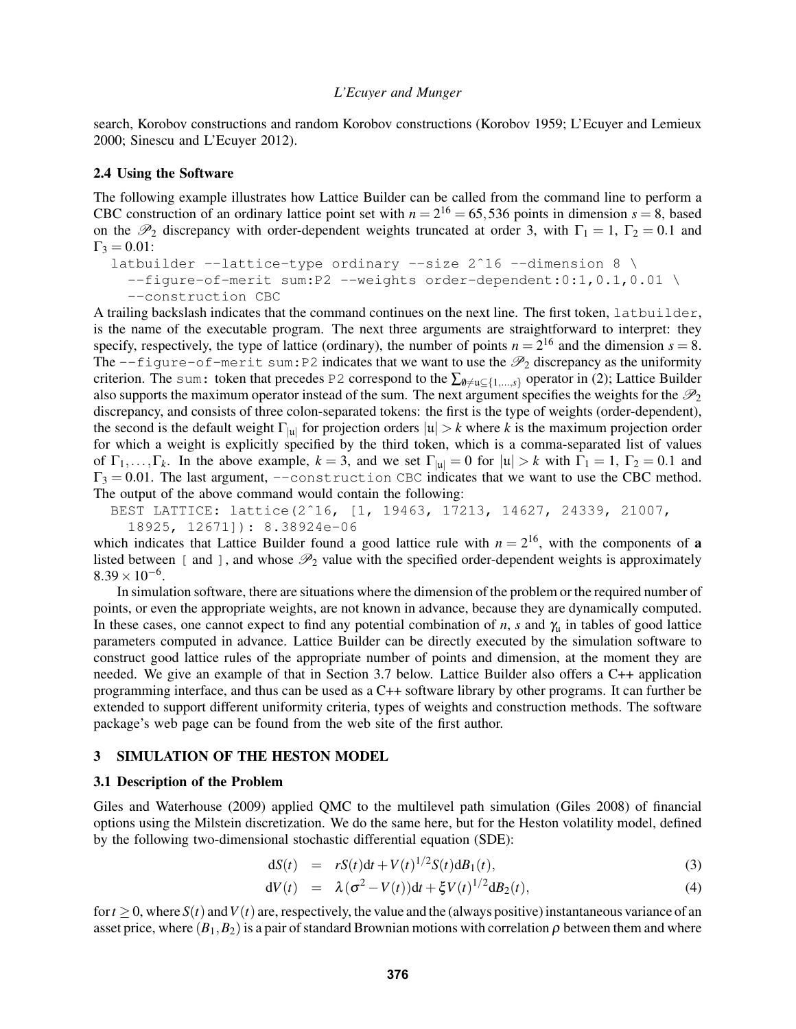search, Korobov constructions and random Korobov constructions (Korobov 1959; L'Ecuyer and Lemieux 2000; Sinescu and L'Ecuyer 2012).

### 2.4 Using the Software

The following example illustrates how Lattice Builder can be called from the command line to perform a CBC construction of an ordinary lattice point set with  $n = 2^{16} = 65,536$  points in dimension  $s = 8$ , based on the  $\mathcal{P}_2$  discrepancy with order-dependent weights truncated at order 3, with  $\Gamma_1 = 1$ ,  $\Gamma_2 = 0.1$  and  $\Gamma_3 = 0.01$ :

```
latbuilder --lattice-type ordinary --size 2^16 --dimension 8 \
--figure-of-merit sum:P2 --weights order-dependent:0:1,0.1,0.01 \
```

```
--construction CBC
```
A trailing backslash indicates that the command continues on the next line. The first token, latbuilder, is the name of the executable program. The next three arguments are straightforward to interpret: they specify, respectively, the type of lattice (ordinary), the number of points  $n = 2^{16}$  and the dimension  $s = 8$ . The  $-\text{figure-of-merit sum:}$  P2 indicates that we want to use the  $\mathcal{P}_2$  discrepancy as the uniformity criterion. The sum: token that precedes P2 correspond to the  $\sum_{\emptyset \neq u \subset \{1,\ldots,s\}}$  operator in (2); Lattice Builder also supports the maximum operator instead of the sum. The next argument specifies the weights for the  $\mathcal{P}_2$ discrepancy, and consists of three colon-separated tokens: the first is the type of weights (order-dependent), the second is the default weight  $\Gamma_{|u|}$  for projection orders  $|u| > k$  where *k* is the maximum projection order for which a weight is explicitly specified by the third token, which is a comma-separated list of values of  $\Gamma_1, \ldots, \Gamma_k$ . In the above example,  $k = 3$ , and we set  $\Gamma_{|u|} = 0$  for  $|u| > k$  with  $\Gamma_1 = 1$ ,  $\Gamma_2 = 0.1$  and  $\Gamma_3 = 0.01$ . The last argument,  $-\text{construction}$  CBC indicates that we want to use the CBC method. The output of the above command would contain the following:

BEST LATTICE: lattice(2ˆ16, [1, 19463, 17213, 14627, 24339, 21007, 18925, 12671]): 8.38924e-06

which indicates that Lattice Builder found a good lattice rule with  $n = 2<sup>16</sup>$ , with the components of **a** listed between [ and ], and whose  $\mathcal{P}_2$  value with the specified order-dependent weights is approximately  $8.39 \times 10^{-6}$ .

In simulation software, there are situations where the dimension of the problem or the required number of points, or even the appropriate weights, are not known in advance, because they are dynamically computed. In these cases, one cannot expect to find any potential combination of *n*, *s* and  $\gamma_u$  in tables of good lattice parameters computed in advance. Lattice Builder can be directly executed by the simulation software to construct good lattice rules of the appropriate number of points and dimension, at the moment they are needed. We give an example of that in Section 3.7 below. Lattice Builder also offers a C++ application programming interface, and thus can be used as a C++ software library by other programs. It can further be extended to support different uniformity criteria, types of weights and construction methods. The software package's web page can be found from the web site of the first author.

#### 3 SIMULATION OF THE HESTON MODEL

#### 3.1 Description of the Problem

Giles and Waterhouse (2009) applied QMC to the multilevel path simulation (Giles 2008) of financial options using the Milstein discretization. We do the same here, but for the Heston volatility model, defined by the following two-dimensional stochastic differential equation (SDE):

$$
dS(t) = rS(t)dt + V(t)^{1/2}S(t)dB_1(t),
$$
\n(3)

$$
dV(t) = \lambda(\sigma^2 - V(t))dt + \xi V(t)^{1/2}dB_2(t), \qquad (4)
$$

for  $t > 0$ , where  $S(t)$  and  $V(t)$  are, respectively, the value and the (always positive) instantaneous variance of an asset price, where  $(B_1, B_2)$  is a pair of standard Brownian motions with correlation  $\rho$  between them and where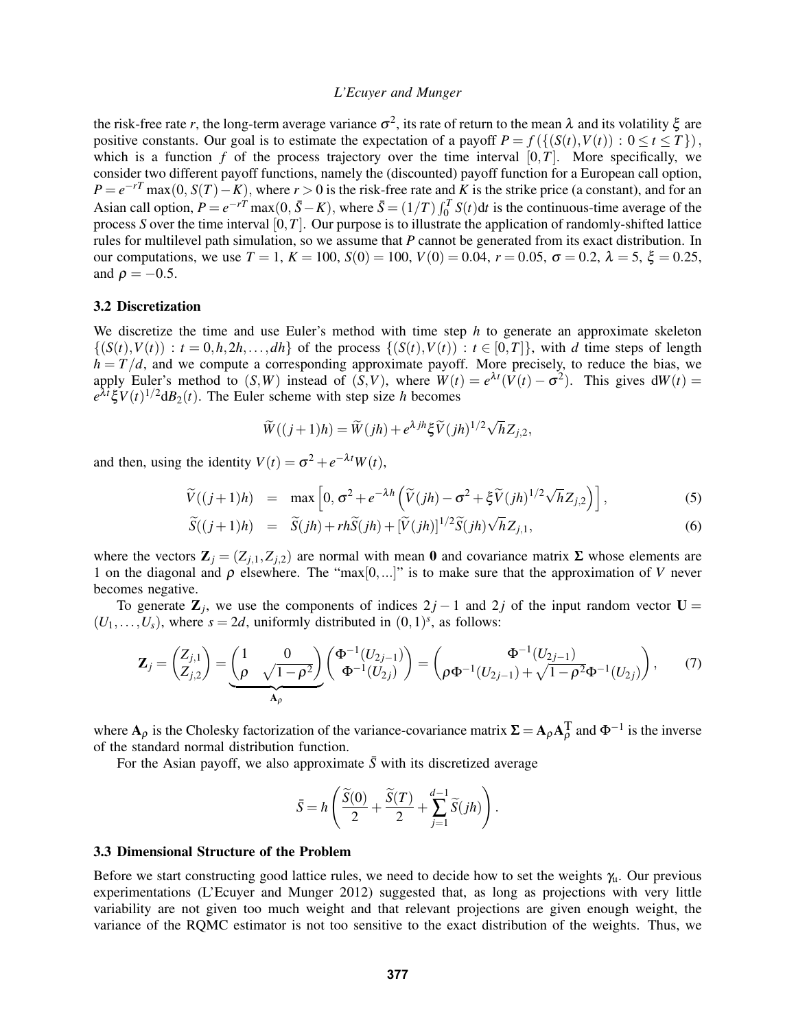the risk-free rate *r*, the long-term average variance  $\sigma^2$ , its rate of return to the mean  $\lambda$  and its volatility  $\xi$  are positive constants. Our goal is to estimate the expectation of a payoff  $P = f({S(t), V(t)) : 0 \le t \le T}$ , which is a function  $f$  of the process trajectory over the time interval  $[0, T]$ . More specifically, we consider two different payoff functions, namely the (discounted) payoff function for a European call option,  $P = e^{-rT} \max(0, S(T) - K)$ , where  $r > 0$  is the risk-free rate and *K* is the strike price (a constant), and for an Asian call option,  $P = e^{-rT} \max(0, \bar{S} - K)$ , where  $\bar{S} = (1/T) \int_0^T S(t) dt$  is the continuous-time average of the process *S* over the time interval [0,*T*]. Our purpose is to illustrate the application of randomly-shifted lattice rules for multilevel path simulation, so we assume that *P* cannot be generated from its exact distribution. In our computations, we use  $T = 1$ ,  $K = 100$ ,  $S(0) = 100$ ,  $V(0) = 0.04$ ,  $r = 0.05$ ,  $\sigma = 0.2$ ,  $\lambda = 5$ ,  $\xi = 0.25$ , and  $\rho = -0.5$ .

### 3.2 Discretization

We discretize the time and use Euler's method with time step *h* to generate an approximate skeleton  $\{(S(t), V(t)) : t = 0, h, 2h, \ldots, dh\}$  of the process  $\{(S(t), V(t)) : t \in [0, T]\}$ , with *d* time steps of length  $h = T/d$ , and we compute a corresponding approximate payoff. More precisely, to reduce the bias, we apply Euler's method to  $(S, W)$  instead of  $(S, V)$ , where  $W(t) = e^{\lambda t} (V(t) - \sigma^2)$ . This gives  $dW(t) =$  $e^{\lambda t} \xi V(t)^{1/2} dB_2(t)$ . The Euler scheme with step size *h* becomes

$$
\widetilde{W}((j+1)h) = \widetilde{W}(jh) + e^{\lambda jh} \xi \widetilde{V}(jh)^{1/2} \sqrt{h} Z_{j,2},
$$

and then, using the identity  $V(t) = \sigma^2 + e^{-\lambda t} W(t)$ ,

$$
\widetilde{V}((j+1)h) = \max\left[0, \sigma^2 + e^{-\lambda h} \left(\widetilde{V}(jh) - \sigma^2 + \xi \widetilde{V}(jh)^{1/2} \sqrt{h} Z_{j,2}\right)\right],
$$
\n(5)

$$
\widetilde{S}((j+1)h) = \widetilde{S}(jh) + rh\widetilde{S}(jh) + [\widetilde{V}(jh)]^{1/2}\widetilde{S}(jh)\sqrt{h}Z_{j,1},
$$
\n(6)

where the vectors  $\mathbf{Z}_j = (Z_{j,1}, Z_{j,2})$  are normal with mean 0 and covariance matrix  $\Sigma$  whose elements are 1 on the diagonal and  $\rho$  elsewhere. The "max $[0,...]$ " is to make sure that the approximation of *V* never becomes negative.

To generate  $\mathbb{Z}_j$ , we use the components of indices  $2j - 1$  and  $2j$  of the input random vector  $\mathbb{U} =$  $(U_1, \ldots, U_s)$ , where  $s = 2d$ , uniformly distributed in  $(0, 1)^s$ , as follows:

$$
\mathbf{Z}_{j} = \begin{pmatrix} Z_{j,1} \\ Z_{j,2} \end{pmatrix} = \underbrace{\begin{pmatrix} 1 & 0 \\ \rho & \sqrt{1-\rho^{2}} \end{pmatrix}}_{\mathbf{A}_{\rho}} \begin{pmatrix} \Phi^{-1}(U_{2j-1}) \\ \Phi^{-1}(U_{2j}) \end{pmatrix} = \begin{pmatrix} \Phi^{-1}(U_{2j-1}) \\ \rho \Phi^{-1}(U_{2j-1}) + \sqrt{1-\rho^{2}} \Phi^{-1}(U_{2j}) \end{pmatrix}, \quad (7)
$$

where  $A_\rho$  is the Cholesky factorization of the variance-covariance matrix  $\Sigma = A_\rho A_\rho^T$  and  $\Phi^{-1}$  is the inverse of the standard normal distribution function.

For the Asian payoff, we also approximate  $\bar{S}$  with its discretized average

$$
\bar{S} = h\left(\frac{\widetilde{S}(0)}{2} + \frac{\widetilde{S}(T)}{2} + \sum_{j=1}^{d-1} \widetilde{S}(jh)\right).
$$

### 3.3 Dimensional Structure of the Problem

Before we start constructing good lattice rules, we need to decide how to set the weights  $\gamma_{\mu}$ . Our previous experimentations (L'Ecuyer and Munger 2012) suggested that, as long as projections with very little variability are not given too much weight and that relevant projections are given enough weight, the variance of the RQMC estimator is not too sensitive to the exact distribution of the weights. Thus, we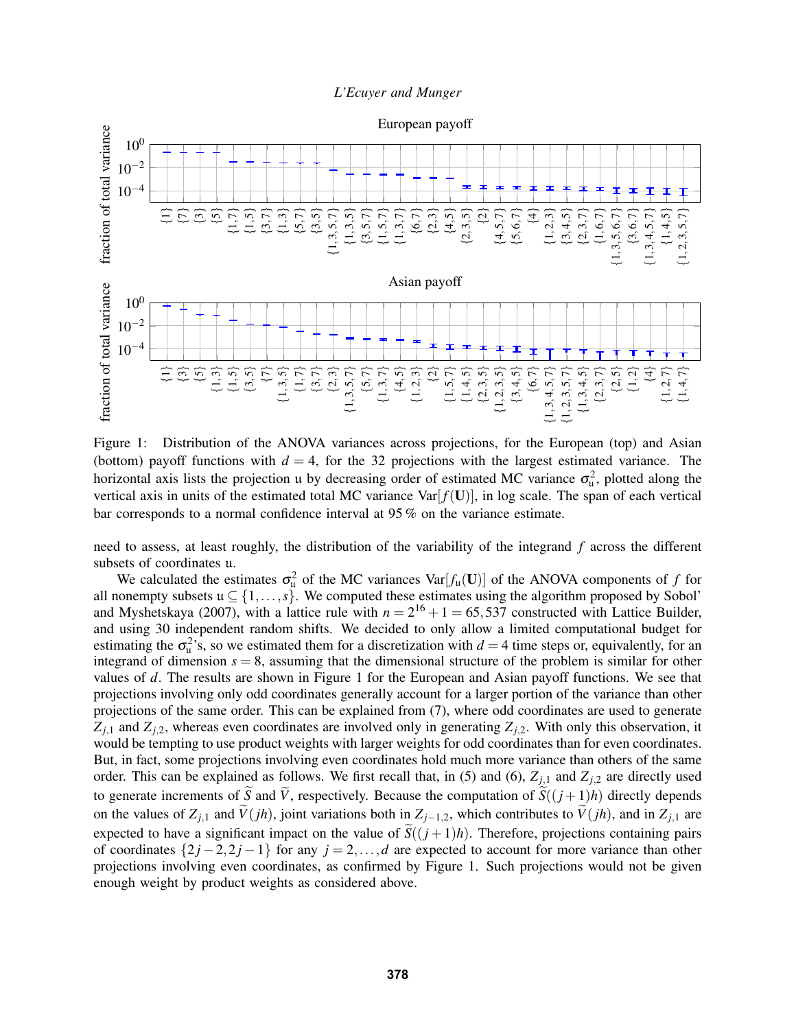

Figure 1: Distribution of the ANOVA variances across projections, for the European (top) and Asian (bottom) payoff functions with  $d = 4$ , for the 32 projections with the largest estimated variance. The horizontal axis lists the projection u by decreasing order of estimated MC variance  $\sigma_u^2$ , plotted along the vertical axis in units of the estimated total MC variance  $Var[f(U)]$ , in log scale. The span of each vertical bar corresponds to a normal confidence interval at 95 % on the variance estimate.

need to assess, at least roughly, the distribution of the variability of the integrand *f* across the different subsets of coordinates u.

We calculated the estimates  $\sigma_u^2$  of the MC variances Var $[f_u(\mathbf{U})]$  of the ANOVA components of *f* for all nonempty subsets  $u \subseteq \{1,\ldots,s\}$ . We computed these estimates using the algorithm proposed by Sobol' and Myshetskaya (2007), with a lattice rule with  $n = 2^{16} + 1 = 65,537$  constructed with Lattice Builder, and using 30 independent random shifts. We decided to only allow a limited computational budget for estimating the  $\sigma_u^2$ 's, so we estimated them for a discretization with  $d = 4$  time steps or, equivalently, for an integrand of dimension  $s = 8$ , assuming that the dimensional structure of the problem is similar for other values of *d*. The results are shown in Figure 1 for the European and Asian payoff functions. We see that projections involving only odd coordinates generally account for a larger portion of the variance than other projections of the same order. This can be explained from (7), where odd coordinates are used to generate  $Z_{j,1}$  and  $Z_{j,2}$ , whereas even coordinates are involved only in generating  $Z_{j,2}$ . With only this observation, it would be tempting to use product weights with larger weights for odd coordinates than for even coordinates. But, in fact, some projections involving even coordinates hold much more variance than others of the same order. This can be explained as follows. We first recall that, in (5) and (6),  $Z_{j,1}$  and  $Z_{j,2}$  are directly used to generate increments of  $\tilde{S}$  and  $\tilde{V}$ , respectively. Because the computation of  $\tilde{S}((j+1)h)$  directly depends on the values of  $Z_{j,1}$  and  $\tilde{V}(jh)$ , joint variations both in  $Z_{j-1,2}$ , which contributes to  $\tilde{V}(jh)$ , and in  $Z_{j,1}$  are expected to have a significant impact on the value of  $\widetilde{S}((j+1)h)$ . Therefore, projections containing pairs of coordinates  $\{2j-2,2j-1\}$  for any  $j=2,\ldots,d$  are expected to account for more variance than other projections involving even coordinates, as confirmed by Figure 1. Such projections would not be given enough weight by product weights as considered above.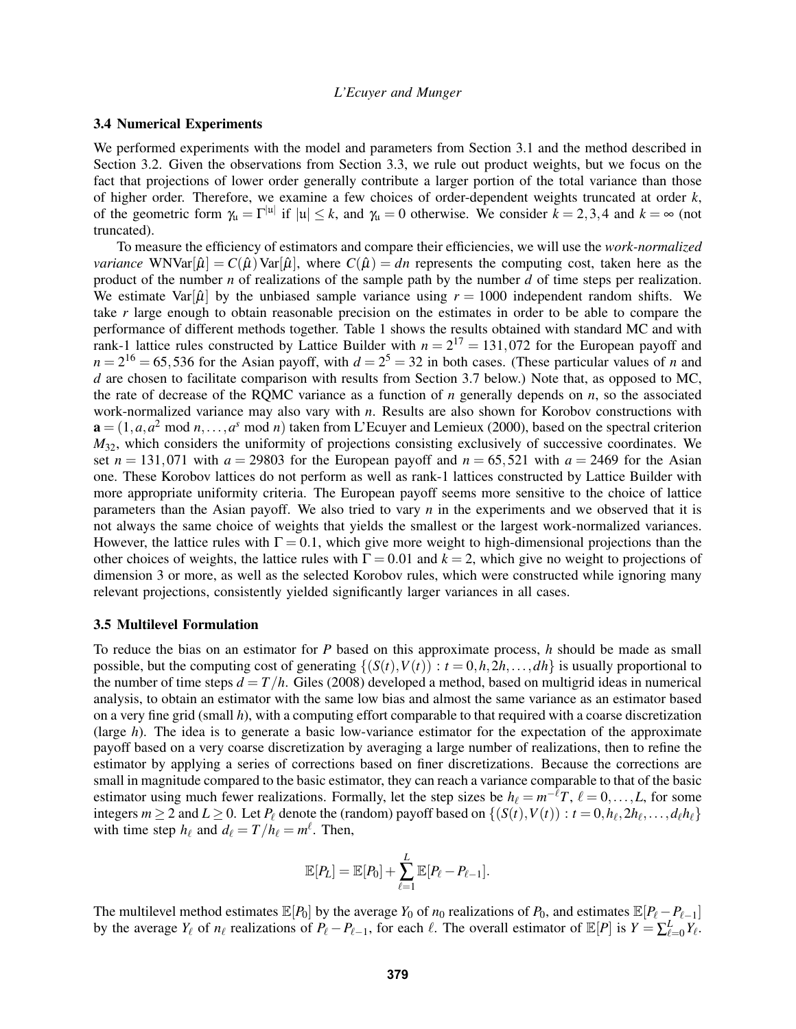### 3.4 Numerical Experiments

We performed experiments with the model and parameters from Section 3.1 and the method described in Section 3.2. Given the observations from Section 3.3, we rule out product weights, but we focus on the fact that projections of lower order generally contribute a larger portion of the total variance than those of higher order. Therefore, we examine a few choices of order-dependent weights truncated at order *k*, of the geometric form  $\gamma_{\mu} = \Gamma^{|u|}$  if  $|u| \leq k$ , and  $\gamma_{\mu} = 0$  otherwise. We consider  $k = 2, 3, 4$  and  $k = \infty$  (not truncated).

To measure the efficiency of estimators and compare their efficiencies, we will use the *work-normalized variance* WNVar $[\hat{\mu}] = C(\hat{\mu})$ Var $[\hat{\mu}]$ , where  $C(\hat{\mu}) = dn$  represents the computing cost, taken here as the product of the number *n* of realizations of the sample path by the number *d* of time steps per realization. We estimate Var[ $\hat{\mu}$ ] by the unbiased sample variance using  $r = 1000$  independent random shifts. We take *r* large enough to obtain reasonable precision on the estimates in order to be able to compare the performance of different methods together. Table 1 shows the results obtained with standard MC and with rank-1 lattice rules constructed by Lattice Builder with  $n = 2^{17} = 131,072$  for the European payoff and  $n = 2^{16} = 65,536$  for the Asian payoff, with  $d = 2^5 = 32$  in both cases. (These particular values of *n* and *d* are chosen to facilitate comparison with results from Section 3.7 below.) Note that, as opposed to MC, the rate of decrease of the RQMC variance as a function of *n* generally depends on *n*, so the associated work-normalized variance may also vary with *n*. Results are also shown for Korobov constructions with  $\mathbf{a} = (1, a, a^2 \mod n, \dots, a^s \mod n)$  taken from L'Ecuyer and Lemieux (2000), based on the spectral criterion  $M_{32}$ , which considers the uniformity of projections consisting exclusively of successive coordinates. We set  $n = 131,071$  with  $a = 29803$  for the European payoff and  $n = 65,521$  with  $a = 2469$  for the Asian one. These Korobov lattices do not perform as well as rank-1 lattices constructed by Lattice Builder with more appropriate uniformity criteria. The European payoff seems more sensitive to the choice of lattice parameters than the Asian payoff. We also tried to vary *n* in the experiments and we observed that it is not always the same choice of weights that yields the smallest or the largest work-normalized variances. However, the lattice rules with  $\Gamma = 0.1$ , which give more weight to high-dimensional projections than the other choices of weights, the lattice rules with  $\Gamma = 0.01$  and  $k = 2$ , which give no weight to projections of dimension 3 or more, as well as the selected Korobov rules, which were constructed while ignoring many relevant projections, consistently yielded significantly larger variances in all cases.

### 3.5 Multilevel Formulation

To reduce the bias on an estimator for *P* based on this approximate process, *h* should be made as small possible, but the computing cost of generating  $\{(S(t), V(t)) : t = 0, h, 2h, \ldots, dh\}$  is usually proportional to the number of time steps  $d = T/h$ . Giles (2008) developed a method, based on multigrid ideas in numerical analysis, to obtain an estimator with the same low bias and almost the same variance as an estimator based on a very fine grid (small *h*), with a computing effort comparable to that required with a coarse discretization (large *h*). The idea is to generate a basic low-variance estimator for the expectation of the approximate payoff based on a very coarse discretization by averaging a large number of realizations, then to refine the estimator by applying a series of corrections based on finer discretizations. Because the corrections are small in magnitude compared to the basic estimator, they can reach a variance comparable to that of the basic estimator using much fewer realizations. Formally, let the step sizes be  $h_\ell = m^{-\ell}T$ ,  $\ell = 0, \ldots, L$ , for some integers  $m \ge 2$  and  $L \ge 0$ . Let  $P_\ell$  denote the (random) payoff based on  $\{(S(t), V(t)) : t = 0, h_\ell, 2h_\ell, \ldots, d_\ell h_\ell\}$ with time step  $h_\ell$  and  $d_\ell = T/h_\ell = m^\ell$ . Then,

$$
\mathbb{E}[P_L] = \mathbb{E}[P_0] + \sum_{\ell=1}^L \mathbb{E}[P_\ell - P_{\ell-1}].
$$

The multilevel method estimates  $\mathbb{E}[P_0]$  by the average  $Y_0$  of  $n_0$  realizations of  $P_0$ , and estimates  $\mathbb{E}[P_\ell - P_{\ell-1}]$ by the average  $Y_\ell$  of  $n_\ell$  realizations of  $P_\ell - P_{\ell-1}$ , for each  $\ell$ . The overall estimator of  $\mathbb{E}[P]$  is  $Y = \sum_{\ell=0}^L Y_\ell$ .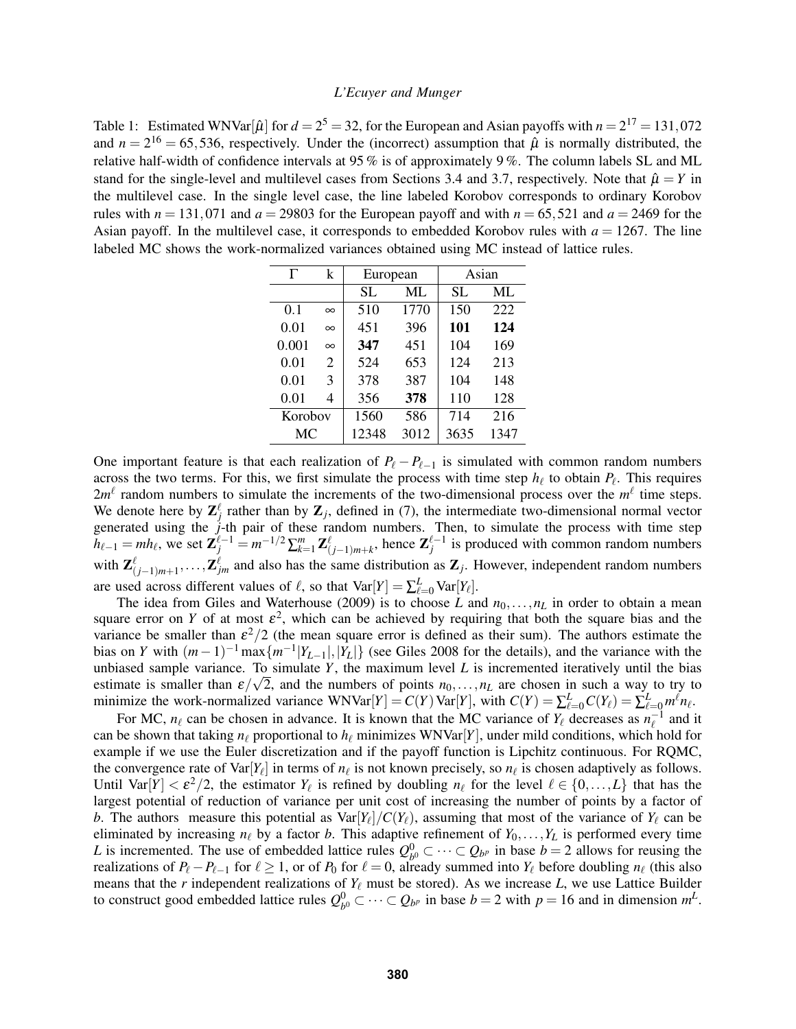Table 1: Estimated WNVar[ $\hat{\mu}$ ] for  $d = 2^5 = 32$ , for the European and Asian payoffs with  $n = 2^{17} = 131,072$ and  $n = 2^{16} = 65,536$ , respectively. Under the (incorrect) assumption that  $\hat{\mu}$  is normally distributed, the relative half-width of confidence intervals at 95 % is of approximately 9 %. The column labels SL and ML stand for the single-level and multilevel cases from Sections 3.4 and 3.7, respectively. Note that  $\hat{\mu} = Y$  in the multilevel case. In the single level case, the line labeled Korobov corresponds to ordinary Korobov rules with  $n = 131,071$  and  $a = 29803$  for the European payoff and with  $n = 65,521$  and  $a = 2469$  for the Asian payoff. In the multilevel case, it corresponds to embedded Korobov rules with  $a = 1267$ . The line labeled MC shows the work-normalized variances obtained using MC instead of lattice rules.

| Г         | k        | European |      | Asian |      |
|-----------|----------|----------|------|-------|------|
|           |          | SL       | ML   | SL    | ML   |
| 0.1       | $\infty$ | 510      | 1770 | 150   | 222  |
| 0.01      | $\infty$ | 451      | 396  | 101   | 124  |
| 0.001     | $\infty$ | 347      | 451  | 104   | 169  |
| 0.01      | 2        | 524      | 653  | 124   | 213  |
| 0.01      | 3        | 378      | 387  | 104   | 148  |
| 0.01      | 4        | 356      | 378  | 110   | 128  |
| Korobov   |          | 1560     | 586  | 714   | 216  |
| <b>MC</b> |          | 12348    | 3012 | 3635  | 1347 |

One important feature is that each realization of  $P_\ell - P_{\ell-1}$  is simulated with common random numbers across the two terms. For this, we first simulate the process with time step  $h_\ell$  to obtain  $P_\ell$ . This requires  $2m^{\ell}$  random numbers to simulate the increments of the two-dimensional process over the  $m^{\ell}$  time steps. We denote here by  $\mathbf{Z}_j^{\ell}$  rather than by  $\mathbf{Z}_j$ , defined in (7), the intermediate two-dimensional normal vector generated using the *j*-th pair of these random numbers. Then, to simulate the process with time step  $h_{\ell-1} = mh_{\ell}$ , we set  $\mathbf{Z}_{j}^{\ell-1} = m^{-1/2} \sum_{k=1}^{m} \mathbf{Z}_{(j-1)m+k}^{\ell}$ , hence  $\mathbf{Z}_{j}^{\ell-1}$  is produced with common random numbers with  $\mathbf{Z}_{(j-1)m+1}^{\ell},\ldots,\mathbf{Z}_{jm}^{\ell}$  and also has the same distribution as  $\mathbf{Z}_j$ . However, independent random numbers are used across different values of  $\ell$ , so that  $Var[Y] = \sum_{\ell=0}^{L} Var[Y_{\ell}]$ .

The idea from Giles and Waterhouse (2009) is to choose *L* and  $n_0, \ldots, n_L$  in order to obtain a mean square error on *Y* of at most  $\varepsilon^2$ , which can be achieved by requiring that both the square bias and the variance be smaller than  $\epsilon^2/2$  (the mean square error is defined as their sum). The authors estimate the bias on *Y* with  $(m-1)^{-1} \max\{m^{-1}|Y_{L-1}|,|\overline{Y}_L|\}$  (see Giles 2008 for the details), and the variance with the unbiased sample variance. To simulate *Y*, the maximum level *L* is incremented iteratively until the bias estimate is smaller than  $\varepsilon/\sqrt{2}$ , and the numbers of points  $n_0, \ldots, n_L$  are chosen in such a way to try to minimize the work-normalized variance  $WNVar[Y] = C(Y)Var[Y]$ , with  $C(Y) = \sum_{\ell=0}^{L} C(Y_{\ell}) = \sum_{\ell=0}^{L} m^{\ell} n_{\ell}$ .

For MC,  $n_\ell$  can be chosen in advance. It is known that the MC variance of  $Y_\ell$  decreases as  $n_\ell^{-1}$  and it can be shown that taking  $n_\ell$  proportional to  $h_\ell$  minimizes WNVar[*Y*], under mild conditions, which hold for example if we use the Euler discretization and if the payoff function is Lipchitz continuous. For RQMC, the convergence rate of  $Var[Y_\ell]$  in terms of  $n_\ell$  is not known precisely, so  $n_\ell$  is chosen adaptively as follows. Until Var $[Y] < \varepsilon^2/2$ , the estimator  $Y_\ell$  is refined by doubling  $n_\ell$  for the level  $\ell \in \{0,\ldots,L\}$  that has the largest potential of reduction of variance per unit cost of increasing the number of points by a factor of *b*. The authors measure this potential as  $Var[Y_{\ell}]/C(Y_{\ell})$ , assuming that most of the variance of  $Y_{\ell}$  can be eliminated by increasing  $n_\ell$  by a factor *b*. This adaptive refinement of  $Y_0, \ldots, Y_L$  is performed every time L is incremented. The use of embedded lattice rules  $Q_h^0$  $b_0^0 \subset \cdots \subset Q_{b^p}$  in base *b* = 2 allows for reusing the realizations of  $P_\ell - P_{\ell-1}$  for  $\ell \ge 1$ , or of  $P_0$  for  $\ell = 0$ , already summed into  $Y_\ell$  before doubling  $n_\ell$  (this also means that the *r* independent realizations of  $Y_\ell$  must be stored). As we increase  $L$ , we use Lattice Builder to construct good embedded lattice rules  $Q_h^0$  $b<sup>0</sup>$  ⊂ ··· ⊂  $Q_{b<sup>p</sup>}$  in base *b* = 2 with *p* = 16 and in dimension  $m<sup>L</sup>$ .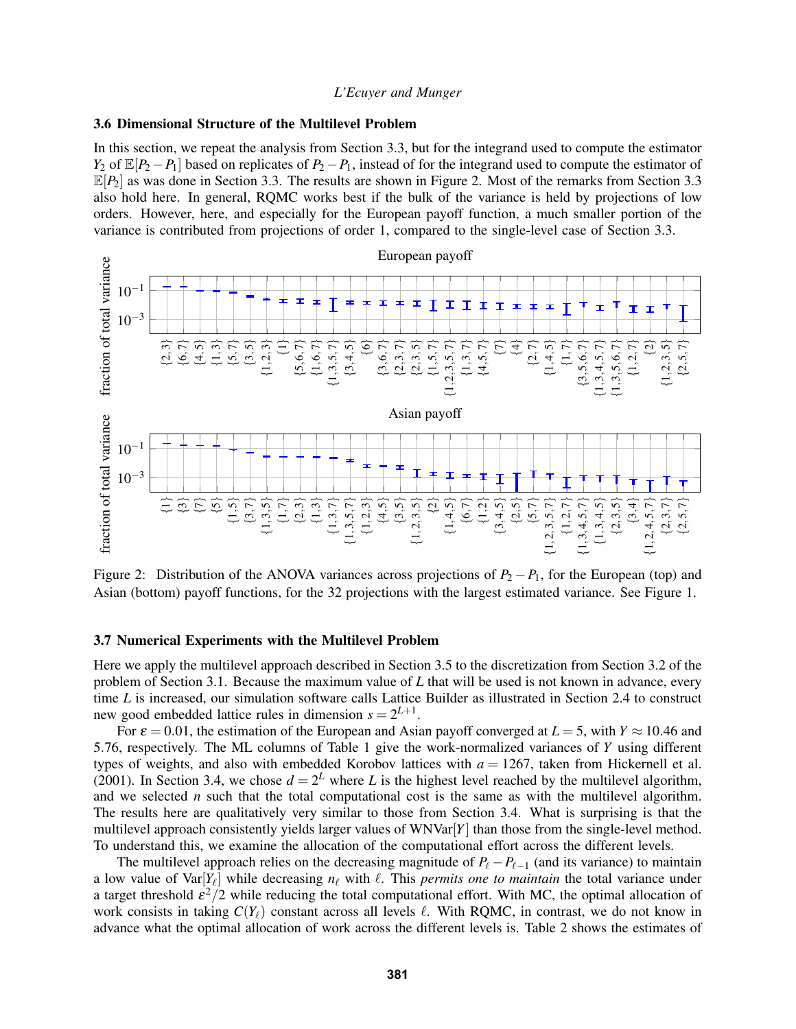#### 3.6 Dimensional Structure of the Multilevel Problem

In this section, we repeat the analysis from Section 3.3, but for the integrand used to compute the estimator *Y*<sub>2</sub> of  $\mathbb{E}[P_2 - P_1]$  based on replicates of  $P_2 - P_1$ , instead of for the integrand used to compute the estimator of  $\mathbb{E}[P_2]$  as was done in Section 3.3. The results are shown in Figure 2. Most of the remarks from Section 3.3 also hold here. In general, RQMC works best if the bulk of the variance is held by projections of low orders. However, here, and especially for the European payoff function, a much smaller portion of the variance is contributed from projections of order 1, compared to the single-level case of Section 3.3.



Figure 2: Distribution of the ANOVA variances across projections of  $P_2 - P_1$ , for the European (top) and Asian (bottom) payoff functions, for the 32 projections with the largest estimated variance. See Figure 1.

### 3.7 Numerical Experiments with the Multilevel Problem

Here we apply the multilevel approach described in Section 3.5 to the discretization from Section 3.2 of the problem of Section 3.1. Because the maximum value of *L* that will be used is not known in advance, every time *L* is increased, our simulation software calls Lattice Builder as illustrated in Section 2.4 to construct new good embedded lattice rules in dimension  $s = 2^{L+1}$ .

For  $\varepsilon = 0.01$ , the estimation of the European and Asian payoff converged at  $L = 5$ , with  $Y \approx 10.46$  and 5.76, respectively. The ML columns of Table 1 give the work-normalized variances of *Y* using different types of weights, and also with embedded Korobov lattices with *a* = 1267, taken from Hickernell et al. (2001). In Section 3.4, we chose  $d = 2^L$  where L is the highest level reached by the multilevel algorithm, and we selected *n* such that the total computational cost is the same as with the multilevel algorithm. The results here are qualitatively very similar to those from Section 3.4. What is surprising is that the multilevel approach consistently yields larger values of  $WNVar[Y]$  than those from the single-level method. To understand this, we examine the allocation of the computational effort across the different levels.

The multilevel approach relies on the decreasing magnitude of  $P_\ell - P_{\ell-1}$  (and its variance) to maintain a low value of  $Var[Y_\ell]$  while decreasing  $n_\ell$  with  $\ell$ . This *permits one to maintain* the total variance under a target threshold  $\epsilon^2/2$  while reducing the total computational effort. With MC, the optimal allocation of work consists in taking  $C(Y_\ell)$  constant across all levels  $\ell$ . With RQMC, in contrast, we do not know in advance what the optimal allocation of work across the different levels is. Table 2 shows the estimates of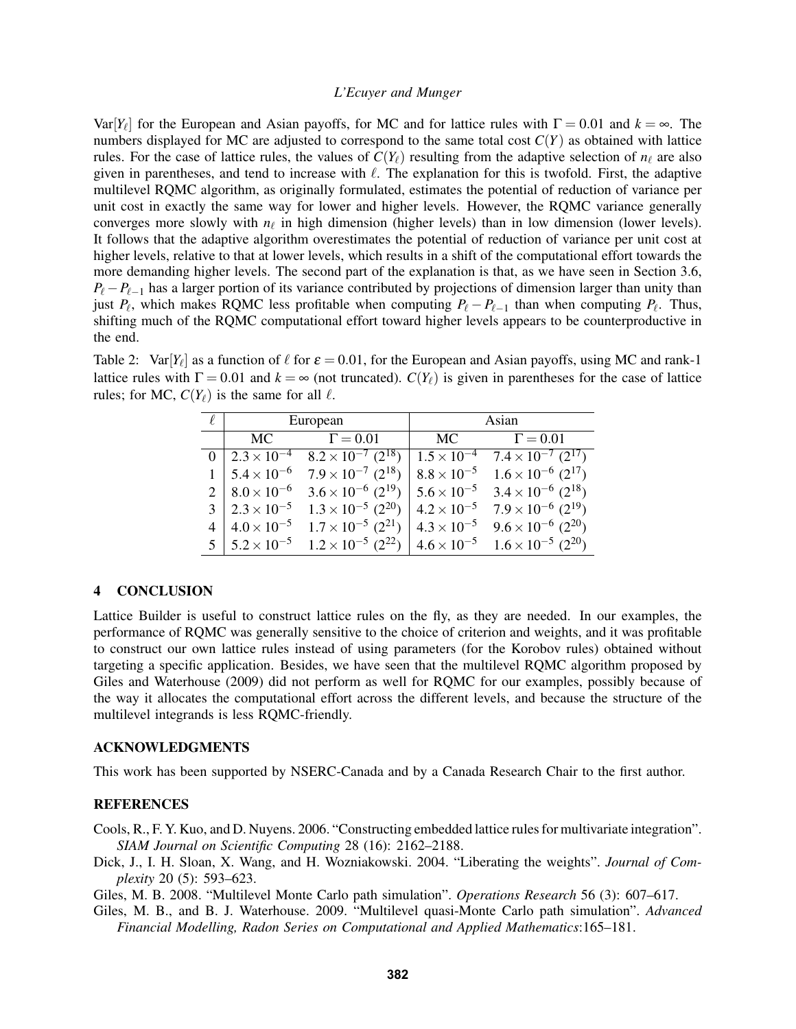Var $[Y_\ell]$  for the European and Asian payoffs, for MC and for lattice rules with  $\Gamma = 0.01$  and  $k = \infty$ . The numbers displayed for MC are adjusted to correspond to the same total cost *C*(*Y*) as obtained with lattice rules. For the case of lattice rules, the values of  $C(Y_\ell)$  resulting from the adaptive selection of  $n_\ell$  are also given in parentheses, and tend to increase with  $\ell$ . The explanation for this is twofold. First, the adaptive multilevel RQMC algorithm, as originally formulated, estimates the potential of reduction of variance per unit cost in exactly the same way for lower and higher levels. However, the RQMC variance generally converges more slowly with  $n_\ell$  in high dimension (higher levels) than in low dimension (lower levels). It follows that the adaptive algorithm overestimates the potential of reduction of variance per unit cost at higher levels, relative to that at lower levels, which results in a shift of the computational effort towards the more demanding higher levels. The second part of the explanation is that, as we have seen in Section 3.6,  $P_{\ell} - P_{\ell-1}$  has a larger portion of its variance contributed by projections of dimension larger than unity than just  $P_\ell$ , which makes RQMC less profitable when computing  $P_\ell - P_{\ell-1}$  than when computing  $P_\ell$ . Thus, shifting much of the RQMC computational effort toward higher levels appears to be counterproductive in the end.

Table 2:  $Var[Y_\ell]$  as a function of  $\ell$  for  $\varepsilon = 0.01$ , for the European and Asian payoffs, using MC and rank-1 lattice rules with  $\Gamma = 0.01$  and  $k = \infty$  (not truncated).  $C(Y_\ell)$  is given in parentheses for the case of lattice rules; for MC,  $C(Y_\ell)$  is the same for all  $\ell$ .

| $\ell$         |                             | European                                | Asian                |                                          |  |
|----------------|-----------------------------|-----------------------------------------|----------------------|------------------------------------------|--|
|                | MC                          | $\Gamma = 0.01$                         | MC.                  | $\Gamma = 0.01$                          |  |
|                | $2.3 \times 10^{-4}$        | $8.2 \times 10^{-7}$ $(2^{18})$         | $1.5 \times 10^{-4}$ | $7.4 \times 10^{-7}$ $\overline{2^{17}}$ |  |
|                | $5.4 \times 10^{-6}$        | $7.9 \times 10^{-7}$ (2 <sup>18</sup> ) | $8.8 \times 10^{-5}$ | $1.6 \times 10^{-6}$ (2 <sup>17</sup> )  |  |
|                | $2 \mid 8.0 \times 10^{-6}$ | $3.6 \times 10^{-6}$ (2 <sup>19</sup> ) | $5.6 \times 10^{-5}$ | $3.4 \times 10^{-6}$ (2 <sup>18</sup> )  |  |
| 3              | $2.3 \times 10^{-5}$        | $1.3 \times 10^{-5}$ (2 <sup>20</sup> ) | $4.2 \times 10^{-5}$ | $7.9 \times 10^{-6}$ (2 <sup>19</sup> )  |  |
|                | $4 \mid 4.0 \times 10^{-5}$ | $1.7 \times 10^{-5}$ (2 <sup>21</sup> ) | $4.3 \times 10^{-5}$ | $9.6 \times 10^{-6}$ (2 <sup>20</sup> )  |  |
| 5 <sup>1</sup> | $5.2 \times 10^{-5}$        | $1.2 \times 10^{-5}$ (2 <sup>22</sup> ) | $4.6 \times 10^{-5}$ | $1.6 \times 10^{-5}$ (2 <sup>20</sup> )  |  |

### 4 CONCLUSION

Lattice Builder is useful to construct lattice rules on the fly, as they are needed. In our examples, the performance of RQMC was generally sensitive to the choice of criterion and weights, and it was profitable to construct our own lattice rules instead of using parameters (for the Korobov rules) obtained without targeting a specific application. Besides, we have seen that the multilevel RQMC algorithm proposed by Giles and Waterhouse (2009) did not perform as well for RQMC for our examples, possibly because of the way it allocates the computational effort across the different levels, and because the structure of the multilevel integrands is less RQMC-friendly.

#### ACKNOWLEDGMENTS

This work has been supported by NSERC-Canada and by a Canada Research Chair to the first author.

### REFERENCES

Cools, R., F. Y. Kuo, and D. Nuyens. 2006. "Constructing embedded lattice rules for multivariate integration". *SIAM Journal on Scientific Computing* 28 (16): 2162–2188.

Dick, J., I. H. Sloan, X. Wang, and H. Wozniakowski. 2004. "Liberating the weights". *Journal of Complexity* 20 (5): 593–623.

Giles, M. B. 2008. "Multilevel Monte Carlo path simulation". *Operations Research* 56 (3): 607–617.

Giles, M. B., and B. J. Waterhouse. 2009. "Multilevel quasi-Monte Carlo path simulation". *Advanced Financial Modelling, Radon Series on Computational and Applied Mathematics*:165–181.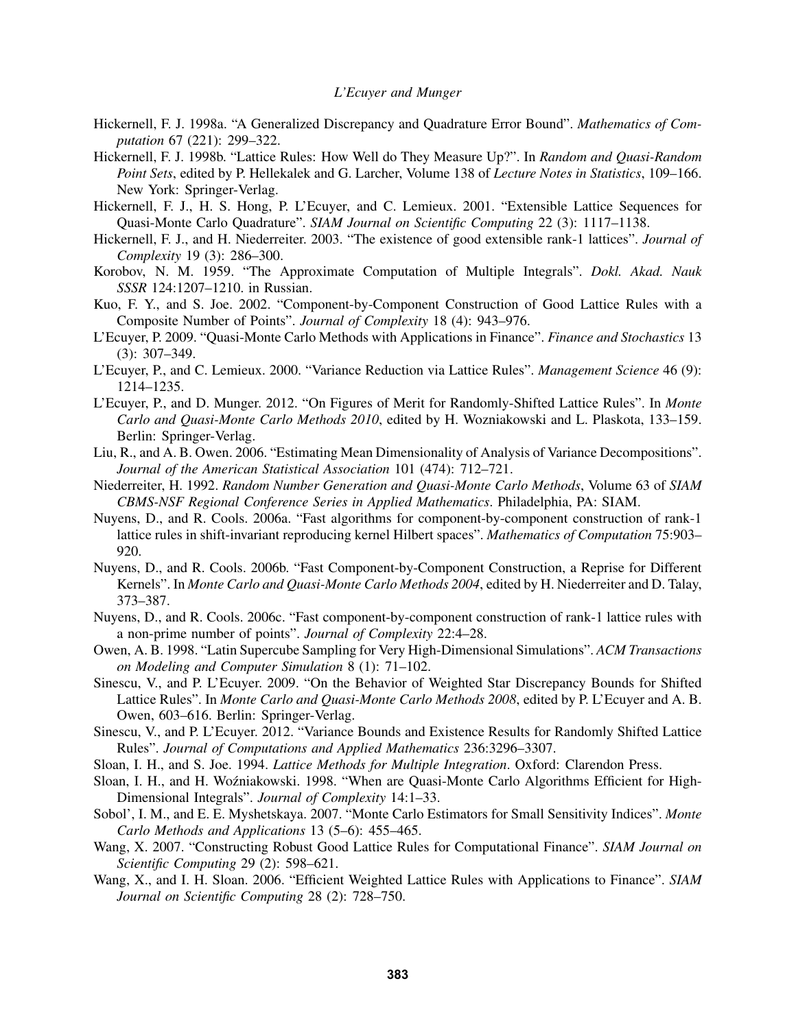- Hickernell, F. J. 1998a. "A Generalized Discrepancy and Quadrature Error Bound". *Mathematics of Computation* 67 (221): 299–322.
- Hickernell, F. J. 1998b. "Lattice Rules: How Well do They Measure Up?". In *Random and Quasi-Random Point Sets*, edited by P. Hellekalek and G. Larcher, Volume 138 of *Lecture Notes in Statistics*, 109–166. New York: Springer-Verlag.
- Hickernell, F. J., H. S. Hong, P. L'Ecuyer, and C. Lemieux. 2001. "Extensible Lattice Sequences for Quasi-Monte Carlo Quadrature". *SIAM Journal on Scientific Computing* 22 (3): 1117–1138.
- Hickernell, F. J., and H. Niederreiter. 2003. "The existence of good extensible rank-1 lattices". *Journal of Complexity* 19 (3): 286–300.
- Korobov, N. M. 1959. "The Approximate Computation of Multiple Integrals". *Dokl. Akad. Nauk SSSR* 124:1207–1210. in Russian.
- Kuo, F. Y., and S. Joe. 2002. "Component-by-Component Construction of Good Lattice Rules with a Composite Number of Points". *Journal of Complexity* 18 (4): 943–976.
- L'Ecuyer, P. 2009. "Quasi-Monte Carlo Methods with Applications in Finance". *Finance and Stochastics* 13 (3): 307–349.
- L'Ecuyer, P., and C. Lemieux. 2000. "Variance Reduction via Lattice Rules". *Management Science* 46 (9): 1214–1235.
- L'Ecuyer, P., and D. Munger. 2012. "On Figures of Merit for Randomly-Shifted Lattice Rules". In *Monte Carlo and Quasi-Monte Carlo Methods 2010*, edited by H. Wozniakowski and L. Plaskota, 133–159. Berlin: Springer-Verlag.
- Liu, R., and A. B. Owen. 2006. "Estimating Mean Dimensionality of Analysis of Variance Decompositions". *Journal of the American Statistical Association* 101 (474): 712–721.
- Niederreiter, H. 1992. *Random Number Generation and Quasi-Monte Carlo Methods*, Volume 63 of *SIAM CBMS-NSF Regional Conference Series in Applied Mathematics*. Philadelphia, PA: SIAM.
- Nuyens, D., and R. Cools. 2006a. "Fast algorithms for component-by-component construction of rank-1 lattice rules in shift-invariant reproducing kernel Hilbert spaces". *Mathematics of Computation* 75:903– 920.
- Nuyens, D., and R. Cools. 2006b. "Fast Component-by-Component Construction, a Reprise for Different Kernels". In *Monte Carlo and Quasi-Monte Carlo Methods 2004*, edited by H. Niederreiter and D. Talay, 373–387.
- Nuyens, D., and R. Cools. 2006c. "Fast component-by-component construction of rank-1 lattice rules with a non-prime number of points". *Journal of Complexity* 22:4–28.
- Owen, A. B. 1998. "Latin Supercube Sampling for Very High-Dimensional Simulations". *ACM Transactions on Modeling and Computer Simulation* 8 (1): 71–102.
- Sinescu, V., and P. L'Ecuyer. 2009. "On the Behavior of Weighted Star Discrepancy Bounds for Shifted Lattice Rules". In *Monte Carlo and Quasi-Monte Carlo Methods 2008*, edited by P. L'Ecuyer and A. B. Owen, 603–616. Berlin: Springer-Verlag.
- Sinescu, V., and P. L'Ecuyer. 2012. "Variance Bounds and Existence Results for Randomly Shifted Lattice Rules". *Journal of Computations and Applied Mathematics* 236:3296–3307.
- Sloan, I. H., and S. Joe. 1994. *Lattice Methods for Multiple Integration*. Oxford: Clarendon Press.
- Sloan, I. H., and H. Woźniakowski. 1998. "When are Quasi-Monte Carlo Algorithms Efficient for High-Dimensional Integrals". *Journal of Complexity* 14:1–33.
- Sobol', I. M., and E. E. Myshetskaya. 2007. "Monte Carlo Estimators for Small Sensitivity Indices". *Monte Carlo Methods and Applications* 13 (5–6): 455–465.
- Wang, X. 2007. "Constructing Robust Good Lattice Rules for Computational Finance". *SIAM Journal on Scientific Computing* 29 (2): 598–621.
- Wang, X., and I. H. Sloan. 2006. "Efficient Weighted Lattice Rules with Applications to Finance". *SIAM Journal on Scientific Computing* 28 (2): 728–750.